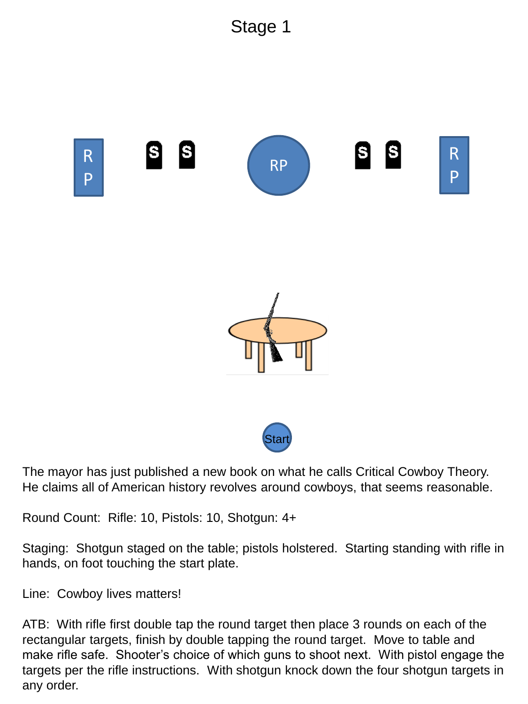





The mayor has just published a new book on what he calls Critical Cowboy Theory. He claims all of American history revolves around cowboys, that seems reasonable.

Round Count: Rifle: 10, Pistols: 10, Shotgun: 4+

Staging: Shotgun staged on the table; pistols holstered. Starting standing with rifle in hands, on foot touching the start plate.

Line: Cowboy lives matters!

ATB: With rifle first double tap the round target then place 3 rounds on each of the rectangular targets, finish by double tapping the round target. Move to table and make rifle safe. Shooter's choice of which guns to shoot next. With pistol engage the targets per the rifle instructions. With shotgun knock down the four shotgun targets in any order.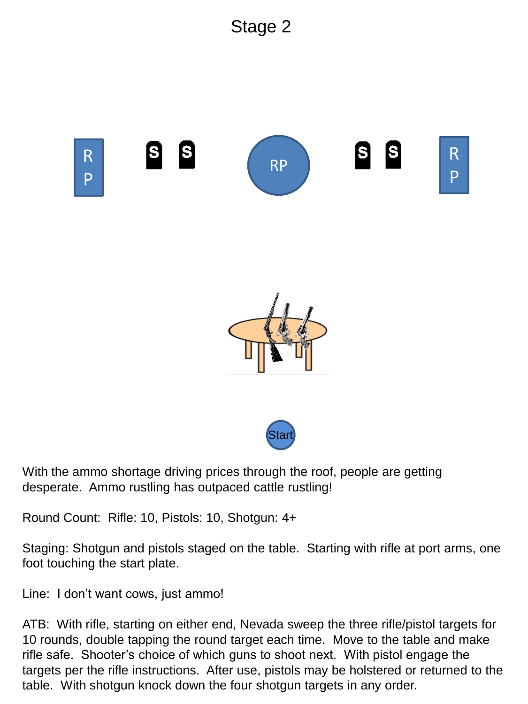



With the ammo shortage driving prices through the roof, people are getting desperate. Ammo rustling has outpaced cattle rustling!

Round Count: Rifle: 10, Pistols: 10, Shotgun: 4+

Staging: Shotgun and pistols staged on the table. Starting with rifle at port arms, one foot touching the start plate.

Star

Line: I don't want cows, just ammo!

ATB: With rifle, starting on either end, Nevada sweep the three rifle/pistol targets for 10 rounds, double tapping the round target each time. Move to the table and make rifle safe. Shooter's choice of which guns to shoot next. With pistol engage the targets per the rifle instructions. After use, pistols may be holstered or returned to the table. With shotgun knock down the four shotgun targets in any order.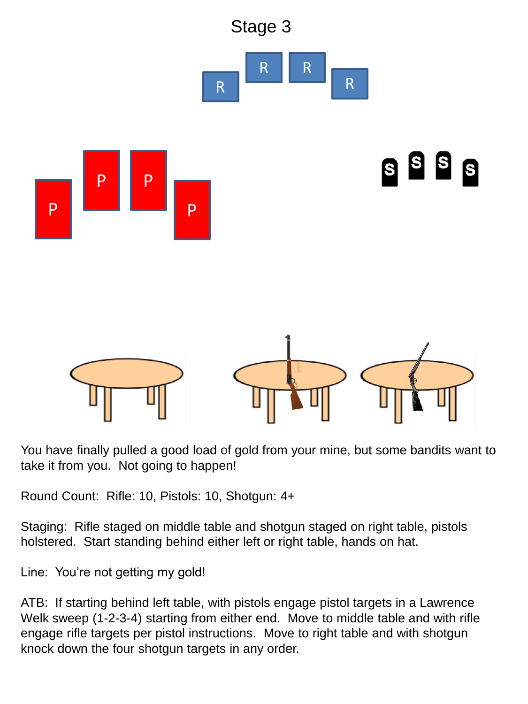

You have finally pulled a good load of gold from your mine, but some bandits want to take it from you. Not going to happen!

Round Count: Rifle: 10, Pistols: 10, Shotgun: 4+

Staging: Rifle staged on middle table and shotgun staged on right table, pistols holstered. Start standing behind either left or right table, hands on hat.

Line: You're not getting my gold!

ATB: If starting behind left table, with pistols engage pistol targets in a Lawrence Welk sweep (1-2-3-4) starting from either end. Move to middle table and with rifle engage rifle targets per pistol instructions. Move to right table and with shotgun knock down the four shotgun targets in any order.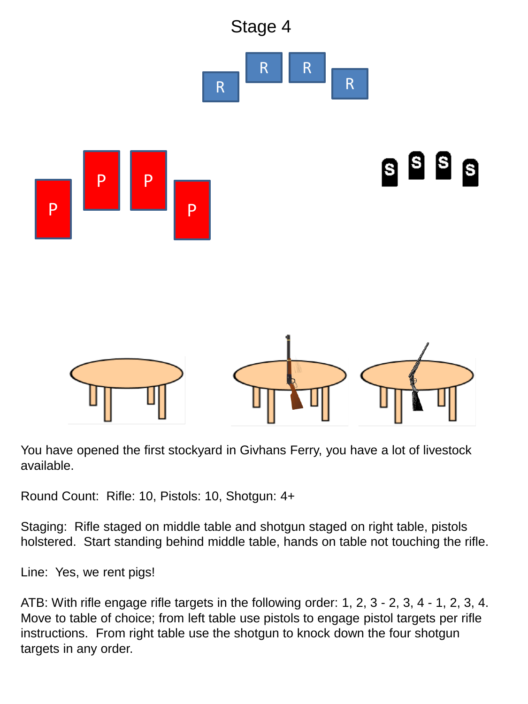

You have opened the first stockyard in Givhans Ferry, you have a lot of livestock available.

Round Count: Rifle: 10, Pistols: 10, Shotgun: 4+

Staging: Rifle staged on middle table and shotgun staged on right table, pistols holstered. Start standing behind middle table, hands on table not touching the rifle.

Line: Yes, we rent pigs!

ATB: With rifle engage rifle targets in the following order: 1, 2, 3 - 2, 3, 4 - 1, 2, 3, 4. Move to table of choice; from left table use pistols to engage pistol targets per rifle instructions. From right table use the shotgun to knock down the four shotgun targets in any order.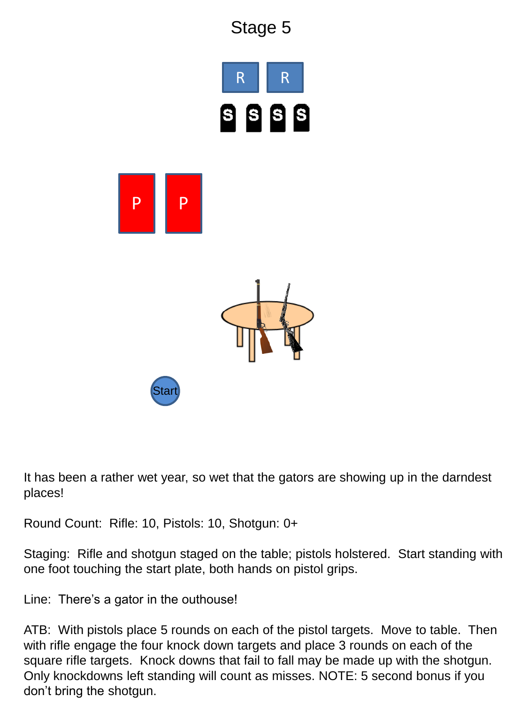

It has been a rather wet year, so wet that the gators are showing up in the darndest places!

Round Count: Rifle: 10, Pistols: 10, Shotgun: 0+

Staging: Rifle and shotgun staged on the table; pistols holstered. Start standing with one foot touching the start plate, both hands on pistol grips.

Line: There's a gator in the outhouse!

ATB: With pistols place 5 rounds on each of the pistol targets. Move to table. Then with rifle engage the four knock down targets and place 3 rounds on each of the square rifle targets. Knock downs that fail to fall may be made up with the shotgun. Only knockdowns left standing will count as misses. NOTE: 5 second bonus if you don't bring the shotgun.